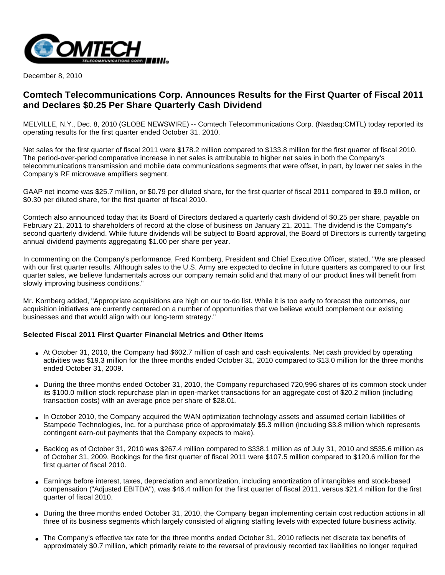

December 8, 2010

# **Comtech Telecommunications Corp. Announces Results for the First Quarter of Fiscal 2011 and Declares \$0.25 Per Share Quarterly Cash Dividend**

MELVILLE, N.Y., Dec. 8, 2010 (GLOBE NEWSWIRE) -- Comtech Telecommunications Corp. (Nasdaq:CMTL) today reported its operating results for the first quarter ended October 31, 2010.

Net sales for the first quarter of fiscal 2011 were \$178.2 million compared to \$133.8 million for the first quarter of fiscal 2010. The period-over-period comparative increase in net sales is attributable to higher net sales in both the Company's telecommunications transmission and mobile data communications segments that were offset, in part, by lower net sales in the Company's RF microwave amplifiers segment.

GAAP net income was \$25.7 million, or \$0.79 per diluted share, for the first quarter of fiscal 2011 compared to \$9.0 million, or \$0.30 per diluted share, for the first quarter of fiscal 2010.

Comtech also announced today that its Board of Directors declared a quarterly cash dividend of \$0.25 per share, payable on February 21, 2011 to shareholders of record at the close of business on January 21, 2011. The dividend is the Company's second quarterly dividend. While future dividends will be subject to Board approval, the Board of Directors is currently targeting annual dividend payments aggregating \$1.00 per share per year.

In commenting on the Company's performance, Fred Kornberg, President and Chief Executive Officer, stated, "We are pleased with our first quarter results. Although sales to the U.S. Army are expected to decline in future quarters as compared to our first quarter sales, we believe fundamentals across our company remain solid and that many of our product lines will benefit from slowly improving business conditions."

Mr. Kornberg added, "Appropriate acquisitions are high on our to-do list. While it is too early to forecast the outcomes, our acquisition initiatives are currently centered on a number of opportunities that we believe would complement our existing businesses and that would align with our long-term strategy."

#### **Selected Fiscal 2011 First Quarter Financial Metrics and Other Items**

- At October 31, 2010, the Company had \$602.7 million of cash and cash equivalents. Net cash provided by operating activities was \$19.3 million for the three months ended October 31, 2010 compared to \$13.0 million for the three months ended October 31, 2009.
- During the three months ended October 31, 2010, the Company repurchased 720,996 shares of its common stock under its \$100.0 million stock repurchase plan in open-market transactions for an aggregate cost of \$20.2 million (including transaction costs) with an average price per share of \$28.01.
- In October 2010, the Company acquired the WAN optimization technology assets and assumed certain liabilities of Stampede Technologies, Inc. for a purchase price of approximately \$5.3 million (including \$3.8 million which represents contingent earn-out payments that the Company expects to make).
- Backlog as of October 31, 2010 was \$267.4 million compared to \$338.1 million as of July 31, 2010 and \$535.6 million as of October 31, 2009. Bookings for the first quarter of fiscal 2011 were \$107.5 million compared to \$120.6 million for the first quarter of fiscal 2010.
- Earnings before interest, taxes, depreciation and amortization, including amortization of intangibles and stock-based compensation ("Adjusted EBITDA"), was \$46.4 million for the first quarter of fiscal 2011, versus \$21.4 million for the first quarter of fiscal 2010.
- During the three months ended October 31, 2010, the Company began implementing certain cost reduction actions in all three of its business segments which largely consisted of aligning staffing levels with expected future business activity.
- The Company's effective tax rate for the three months ended October 31, 2010 reflects net discrete tax benefits of approximately \$0.7 million, which primarily relate to the reversal of previously recorded tax liabilities no longer required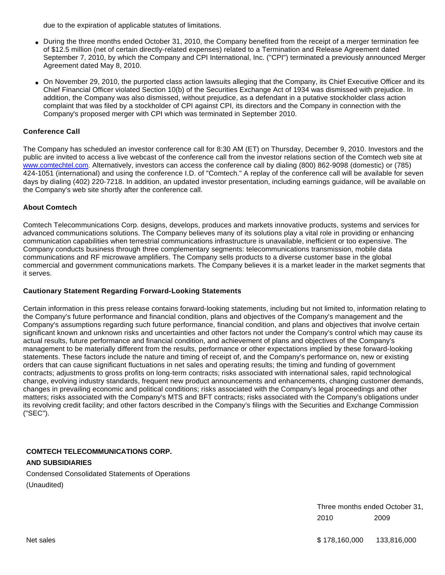due to the expiration of applicable statutes of limitations.

- During the three months ended October 31, 2010, the Company benefited from the receipt of a merger termination fee of \$12.5 million (net of certain directly-related expenses) related to a Termination and Release Agreement dated September 7, 2010, by which the Company and CPI International, Inc. ("CPI") terminated a previously announced Merger Agreement dated May 8, 2010.
- On November 29, 2010, the purported class action lawsuits alleging that the Company, its Chief Executive Officer and its Chief Financial Officer violated Section 10(b) of the Securities Exchange Act of 1934 was dismissed with prejudice. In addition, the Company was also dismissed, without prejudice, as a defendant in a putative stockholder class action complaint that was filed by a stockholder of CPI against CPI, its directors and the Company in connection with the Company's proposed merger with CPI which was terminated in September 2010.

### **Conference Call**

The Company has scheduled an investor conference call for 8:30 AM (ET) on Thursday, December 9, 2010. Investors and the public are invited to access a live webcast of the conference call from the investor relations section of the Comtech web site at [www.comtechtel.com](http://www.comtechtel.com/). Alternatively, investors can access the conference call by dialing (800) 862-9098 (domestic) or (785) 424-1051 (international) and using the conference I.D. of "Comtech." A replay of the conference call will be available for seven days by dialing (402) 220-7218. In addition, an updated investor presentation, including earnings guidance, will be available on the Company's web site shortly after the conference call.

#### **About Comtech**

Comtech Telecommunications Corp. designs, develops, produces and markets innovative products, systems and services for advanced communications solutions. The Company believes many of its solutions play a vital role in providing or enhancing communication capabilities when terrestrial communications infrastructure is unavailable, inefficient or too expensive. The Company conducts business through three complementary segments: telecommunications transmission, mobile data communications and RF microwave amplifiers. The Company sells products to a diverse customer base in the global commercial and government communications markets. The Company believes it is a market leader in the market segments that it serves.

#### **Cautionary Statement Regarding Forward-Looking Statements**

Certain information in this press release contains forward-looking statements, including but not limited to, information relating to the Company's future performance and financial condition, plans and objectives of the Company's management and the Company's assumptions regarding such future performance, financial condition, and plans and objectives that involve certain significant known and unknown risks and uncertainties and other factors not under the Company's control which may cause its actual results, future performance and financial condition, and achievement of plans and objectives of the Company's management to be materially different from the results, performance or other expectations implied by these forward-looking statements. These factors include the nature and timing of receipt of, and the Company's performance on, new or existing orders that can cause significant fluctuations in net sales and operating results; the timing and funding of government contracts; adjustments to gross profits on long-term contracts; risks associated with international sales, rapid technological change, evolving industry standards, frequent new product announcements and enhancements, changing customer demands, changes in prevailing economic and political conditions; risks associated with the Company's legal proceedings and other matters; risks associated with the Company's MTS and BFT contracts; risks associated with the Company's obligations under its revolving credit facility; and other factors described in the Company's filings with the Securities and Exchange Commission ("SEC").

### **COMTECH TELECOMMUNICATIONS CORP. AND SUBSIDIARIES**

Condensed Consolidated Statements of Operations (Unaudited)

> Three months ended October 31, 2010 2009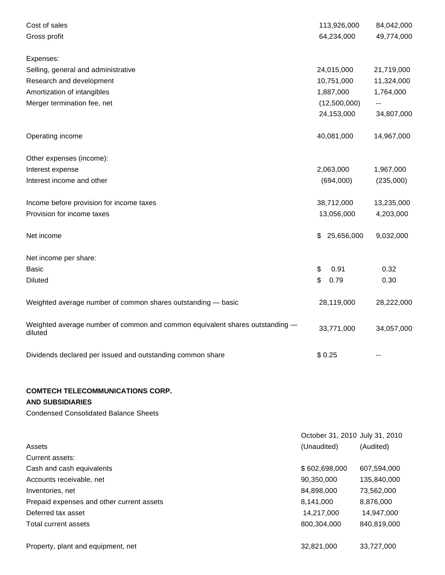| Cost of sales                                                                           | 113,926,000                    | 84,042,000                 |
|-----------------------------------------------------------------------------------------|--------------------------------|----------------------------|
| Gross profit                                                                            | 64,234,000                     | 49,774,000                 |
| Expenses:                                                                               |                                |                            |
| Selling, general and administrative                                                     | 24,015,000                     | 21,719,000                 |
| Research and development                                                                | 10,751,000                     | 11,324,000                 |
| Amortization of intangibles                                                             | 1,887,000                      | 1,764,000                  |
| Merger termination fee, net                                                             | (12,500,000)                   | $\overline{\phantom{m}}$ . |
|                                                                                         | 24,153,000                     | 34,807,000                 |
| Operating income                                                                        | 40,081,000                     | 14,967,000                 |
| Other expenses (income):                                                                |                                |                            |
| Interest expense                                                                        | 2,063,000                      | 1,967,000                  |
| Interest income and other                                                               | (694,000)                      | (235,000)                  |
| Income before provision for income taxes                                                | 38,712,000                     | 13,235,000                 |
| Provision for income taxes                                                              | 13,056,000                     | 4,203,000                  |
| Net income                                                                              | \$<br>25,656,000               | 9,032,000                  |
| Net income per share:                                                                   |                                |                            |
| <b>Basic</b>                                                                            | 0.91<br>\$                     | 0.32                       |
| <b>Diluted</b>                                                                          | \$<br>0.79                     | 0.30                       |
| Weighted average number of common shares outstanding - basic                            | 28,119,000                     | 28,222,000                 |
| Weighted average number of common and common equivalent shares outstanding -<br>diluted | 33,771,000                     | 34,057,000                 |
| Dividends declared per issued and outstanding common share                              | \$0.25                         |                            |
| <b>COMTECH TELECOMMUNICATIONS CORP.</b><br><b>AND SUBSIDIARIES</b>                      |                                |                            |
| <b>Condensed Consolidated Balance Sheets</b>                                            |                                |                            |
|                                                                                         | October 31, 2010 July 31, 2010 |                            |

| Assets                                    | (Unaudited)   | (Audited)   |
|-------------------------------------------|---------------|-------------|
| Current assets:                           |               |             |
| Cash and cash equivalents                 | \$602,698,000 | 607,594,000 |
| Accounts receivable, net                  | 90,350,000    | 135,840,000 |
| Inventories, net                          | 84,898,000    | 73,562,000  |
| Prepaid expenses and other current assets | 8,141,000     | 8,876,000   |
| Deferred tax asset                        | 14,217,000    | 14,947,000  |
| Total current assets                      | 800,304,000   | 840,819,000 |
| Property, plant and equipment, net        | 32,821,000    | 33,727,000  |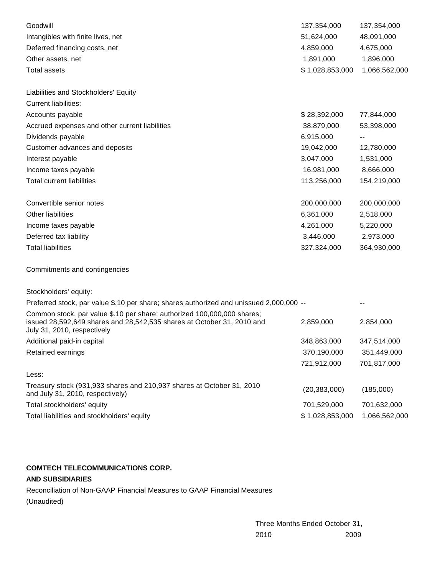| Goodwill                                                                                                                                                                         | 137,354,000     | 137,354,000   |
|----------------------------------------------------------------------------------------------------------------------------------------------------------------------------------|-----------------|---------------|
| Intangibles with finite lives, net                                                                                                                                               | 51,624,000      | 48,091,000    |
| Deferred financing costs, net                                                                                                                                                    | 4,859,000       | 4,675,000     |
| Other assets, net                                                                                                                                                                | 1,891,000       | 1,896,000     |
| <b>Total assets</b>                                                                                                                                                              | \$1,028,853,000 | 1,066,562,000 |
| Liabilities and Stockholders' Equity                                                                                                                                             |                 |               |
| <b>Current liabilities:</b>                                                                                                                                                      |                 |               |
| Accounts payable                                                                                                                                                                 | \$28,392,000    | 77,844,000    |
| Accrued expenses and other current liabilities                                                                                                                                   | 38,879,000      | 53,398,000    |
| Dividends payable                                                                                                                                                                | 6,915,000       |               |
| Customer advances and deposits                                                                                                                                                   | 19,042,000      | 12,780,000    |
| Interest payable                                                                                                                                                                 | 3,047,000       | 1,531,000     |
| Income taxes payable                                                                                                                                                             | 16,981,000      | 8,666,000     |
| <b>Total current liabilities</b>                                                                                                                                                 | 113,256,000     | 154,219,000   |
| Convertible senior notes                                                                                                                                                         | 200,000,000     | 200,000,000   |
| Other liabilities                                                                                                                                                                | 6,361,000       | 2,518,000     |
| Income taxes payable                                                                                                                                                             | 4,261,000       | 5,220,000     |
| Deferred tax liability                                                                                                                                                           | 3,446,000       | 2,973,000     |
| <b>Total liabilities</b>                                                                                                                                                         | 327,324,000     | 364,930,000   |
| Commitments and contingencies                                                                                                                                                    |                 |               |
| Stockholders' equity:                                                                                                                                                            |                 |               |
| Preferred stock, par value \$.10 per share; shares authorized and unissued 2,000,000 --                                                                                          |                 |               |
| Common stock, par value \$.10 per share; authorized 100,000,000 shares;<br>issued 28,592,649 shares and 28,542,535 shares at October 31, 2010 and<br>July 31, 2010, respectively | 2,859,000       | 2,854,000     |
| Additional paid-in capital                                                                                                                                                       | 348,863,000     | 347,514,000   |
| Retained earnings                                                                                                                                                                | 370,190,000     | 351,449,000   |
|                                                                                                                                                                                  | 721,912,000     | 701,817,000   |
| Less:                                                                                                                                                                            |                 |               |
| Treasury stock (931,933 shares and 210,937 shares at October 31, 2010<br>and July 31, 2010, respectively)                                                                        | (20, 383, 000)  | (185,000)     |
| Total stockholders' equity                                                                                                                                                       | 701,529,000     | 701,632,000   |
| Total liabilities and stockholders' equity                                                                                                                                       | \$1,028,853,000 | 1,066,562,000 |

## **COMTECH TELECOMMUNICATIONS CORP.**

# **AND SUBSIDIARIES**

Reconciliation of Non-GAAP Financial Measures to GAAP Financial Measures (Unaudited)

> Three Months Ended October 31, 2010 2009